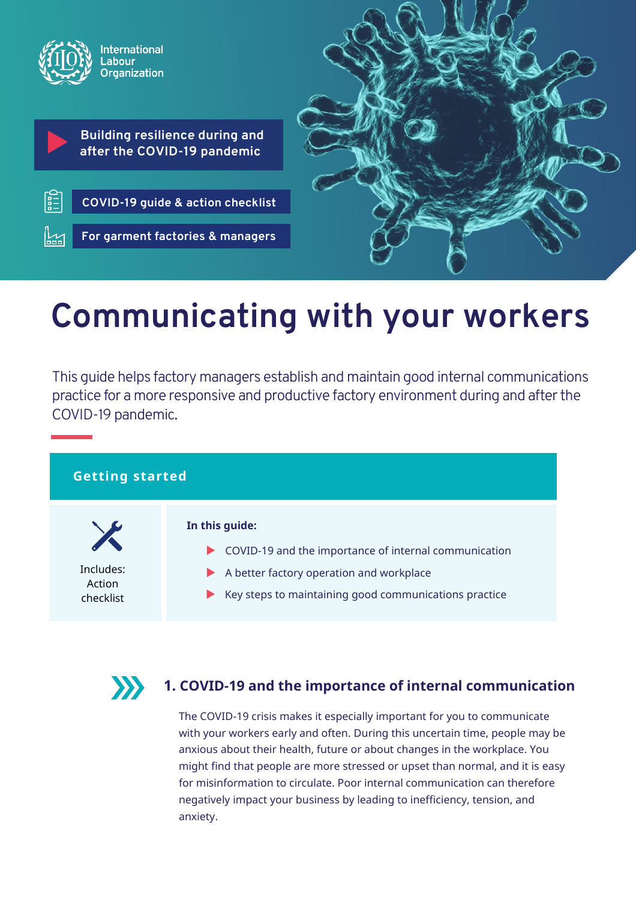

# **Communicating with your workers**

This guide helps factory managers establish and maintain good internal communications practice for a more responsive and productive factory environment during and after the COVID-19 pandemic.

## **Getting started**

Includes: Action checklist

#### **In this guide:**

- COVID-19 and the importance of internal communication
	- A better factory operation and workplace
- $\blacktriangleright$  Key steps to maintaining good communications practice



# **1. COVID-19 and the importance of internal communication**

The COVID-19 crisis makes it especially important for you to communicate with your workers early and often. During this uncertain time, people may be anxious about their health, future or about changes in the workplace. You might find that people are more stressed or upset than normal, and it is easy for misinformation to circulate. Poor internal communication can therefore negatively impact your business by leading to inefficiency, tension, and anxiety.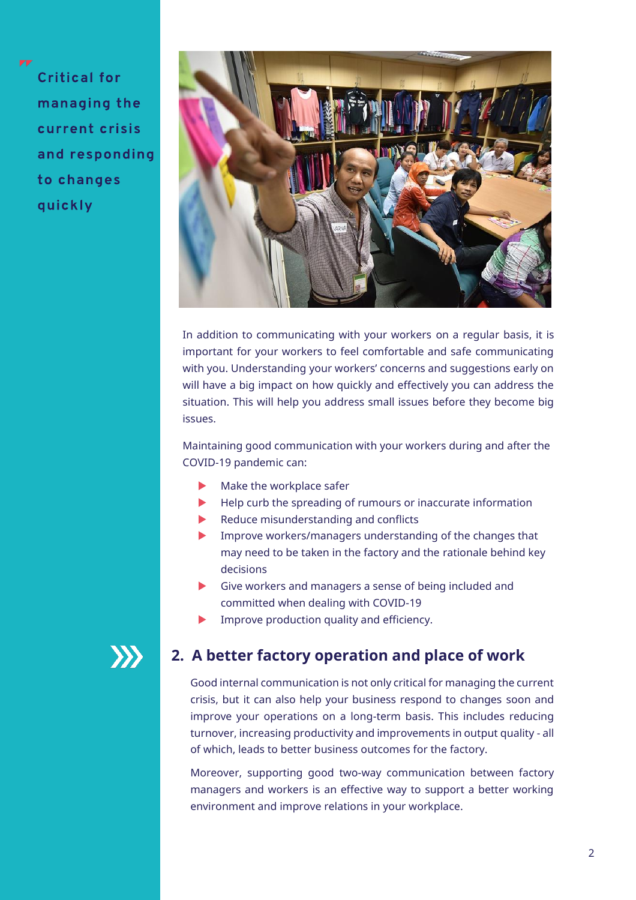**Critical for** managing the current crisis and responding to changes quickly



In addition to communicating with your workers on a regular basis, it is important for your workers to feel comfortable and safe communicating with you. Understanding your workers' concerns and suggestions early on will have a big impact on how quickly and effectively you can address the situation. This will help you address small issues before they become big issues.

Maintaining good communication with your workers during and after the COVID-19 pandemic can:

- $\blacktriangleright$  Make the workplace safer
- Help curb the spreading of rumours or inaccurate information
- Reduce misunderstanding and conflicts
- Improve workers/managers understanding of the changes that may need to be taken in the factory and the rationale behind key decisions
- Give workers and managers a sense of being included and committed when dealing with COVID-19
- Improve production quality and efficiency.

# $\boldsymbol{\Sigma}$

# **2. A better factory operation and place of work**

Good internal communication is not only critical for managing the current crisis, but it can also help your business respond to changes soon and improve your operations on a long-term basis. This includes reducing turnover, increasing productivity and improvements in output quality - all of which, leads to better business outcomes for the factory.

Moreover, supporting good two-way communication between factory managers and workers is an effective way to support a better working environment and improve relations in your workplace.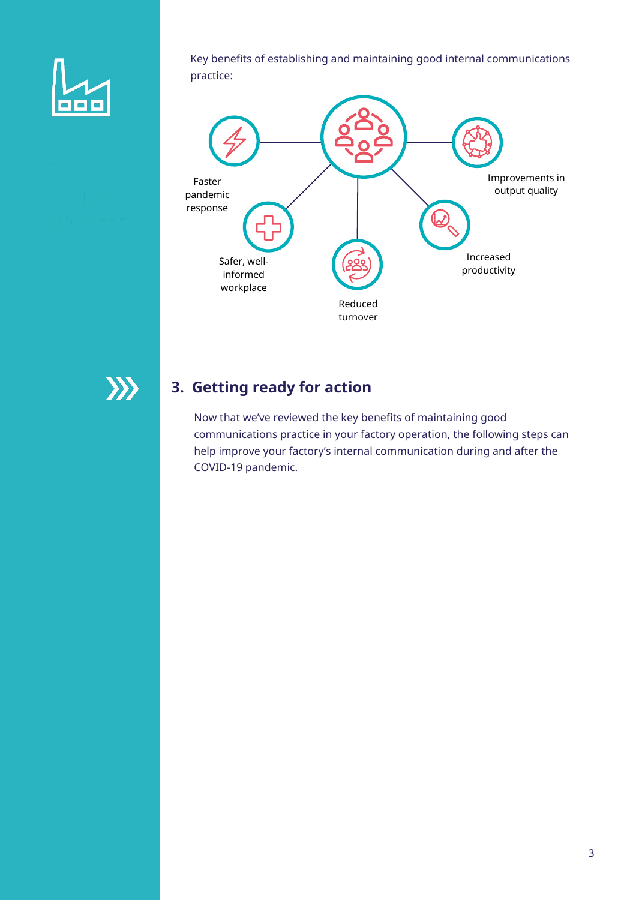

Key benefits of establishing and maintaining good internal communications practice:



# **3. Getting ready for action**

Now that we've reviewed the key benefits of maintaining good communications practice in your factory operation, the following steps can help improve your factory's internal communication during and after the COVID-19 pandemic.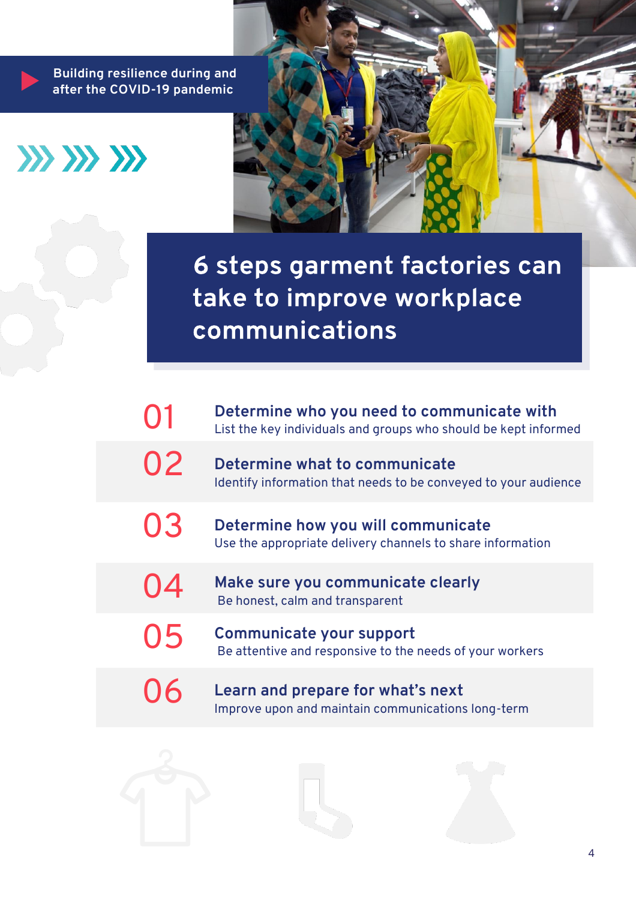**Building resilience during and after the COVID-19 pandemic**





6 steps garment factories can take to improve workplace communications

|           | Determine who you need to communicate with<br>List the key individuals and groups who should be kept informed |
|-----------|---------------------------------------------------------------------------------------------------------------|
| $\bigcup$ | Determine what to communicate<br>Identify information that needs to be conveyed to your audience              |
| <b>U3</b> | Determine how you will communicate<br>Use the appropriate delivery channels to share information              |
|           | Make sure you communicate clearly<br>Be honest, calm and transparent                                          |
| 05        | Communicate your support<br>Be attentive and responsive to the needs of your workers                          |
|           | Learn and prepare for what's next<br>Improve upon and maintain communications long-term                       |

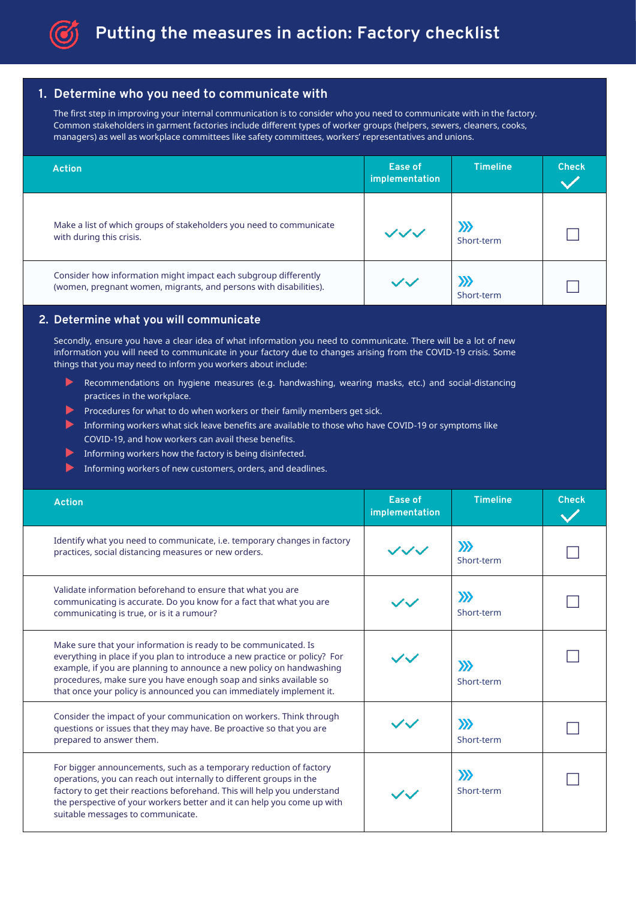

#### **1. Determine who you need to communicate with**

The first step in improving your internal communication is to consider who you need to communicate with in the factory. Common stakeholders in garment factories include different types of worker groups (helpers, sewers, cleaners, cooks, managers) as well as workplace committees like safety committees, workers' representatives and unions.

| <b>Action</b>                                                                                                                        | Ease of<br>implementation | <b>Timeline</b>     | <b>Check</b> |
|--------------------------------------------------------------------------------------------------------------------------------------|---------------------------|---------------------|--------------|
| Make a list of which groups of stakeholders you need to communicate<br>with during this crisis.                                      | $\mathcal{L}$             | $\gg$<br>Short-term |              |
| Consider how information might impact each subgroup differently<br>(women, pregnant women, migrants, and persons with disabilities). | $\sim$ $\sim$ $\prime$    | X)<br>Short-term    |              |

#### **2. Determine what you will communicate**

Secondly, ensure you have a clear idea of what information you need to communicate. There will be a lot of new information you will need to communicate in your factory due to changes arising from the COVID-19 crisis. Some things that you may need to inform you workers about include:

- Recommendations on hygiene measures (e.g. handwashing, wearing masks, etc.) and social-distancing practices in the workplace.
- Procedures for what to do when workers or their family members get sick.
- Informing workers what sick leave benefits are available to those who have COVID-19 or symptoms like COVID-19, and how workers can avail these benefits.
- Informing workers how the factory is being disinfected.
- Informing workers of new customers, orders, and deadlines.

| <b>Action</b>                                                                                                                                                                                                                                                                                                                                                      | Ease of<br>implementation | <b>Timeline</b>     | <b>Check</b> |
|--------------------------------------------------------------------------------------------------------------------------------------------------------------------------------------------------------------------------------------------------------------------------------------------------------------------------------------------------------------------|---------------------------|---------------------|--------------|
| Identify what you need to communicate, i.e. temporary changes in factory<br>practices, social distancing measures or new orders.                                                                                                                                                                                                                                   | ノゾッ                       | $\gg$<br>Short-term |              |
| Validate information beforehand to ensure that what you are<br>communicating is accurate. Do you know for a fact that what you are<br>communicating is true, or is it a rumour?                                                                                                                                                                                    |                           | $\gg$<br>Short-term |              |
| Make sure that your information is ready to be communicated. Is<br>everything in place if you plan to introduce a new practice or policy? For<br>example, if you are planning to announce a new policy on handwashing<br>procedures, make sure you have enough soap and sinks available so<br>that once your policy is announced you can immediately implement it. |                           | $\gg$<br>Short-term |              |
| Consider the impact of your communication on workers. Think through<br>questions or issues that they may have. Be proactive so that you are<br>prepared to answer them.                                                                                                                                                                                            |                           | $\gg$<br>Short-term |              |
| For bigger announcements, such as a temporary reduction of factory<br>operations, you can reach out internally to different groups in the<br>factory to get their reactions beforehand. This will help you understand<br>the perspective of your workers better and it can help you come up with<br>suitable messages to communicate.                              |                           | $\gg$<br>Short-term |              |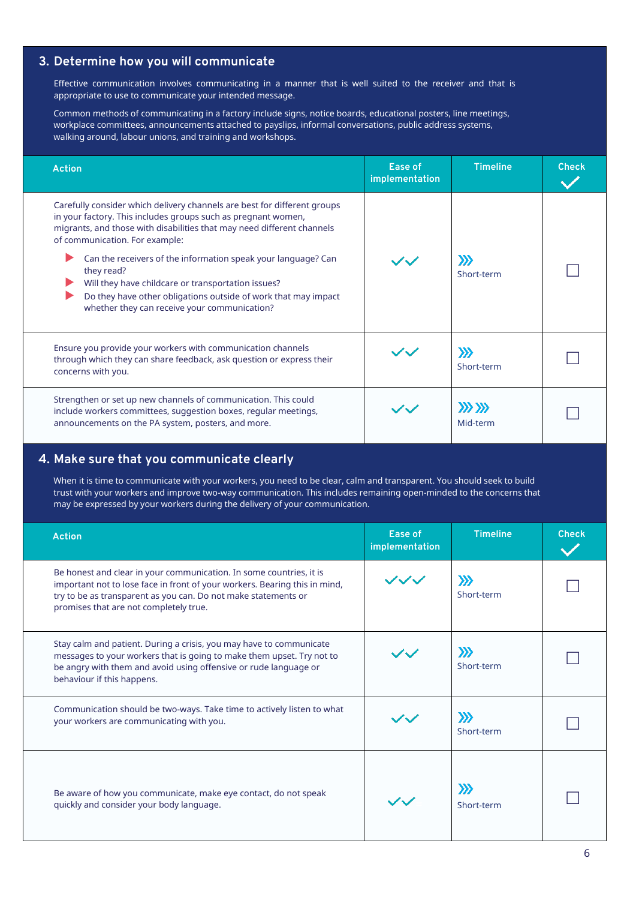### **3. Determine how you will communicate**

Effective communication involves communicating in a manner that is well suited to the receiver and that is appropriate to use to communicate your intended message.

Common methods of communicating in a factory include signs, notice boards, educational posters, line meetings, workplace committees, announcements attached to payslips, informal conversations, public address systems, walking around, labour unions, and training and workshops.

| <b>Action</b>                                                                                                                                                                                                                                                                                                                                                                                                                                                                                                | Ease of<br>implementation | <b>Timeline</b>         | <b>Check</b> |
|--------------------------------------------------------------------------------------------------------------------------------------------------------------------------------------------------------------------------------------------------------------------------------------------------------------------------------------------------------------------------------------------------------------------------------------------------------------------------------------------------------------|---------------------------|-------------------------|--------------|
| Carefully consider which delivery channels are best for different groups<br>in your factory. This includes groups such as pregnant women,<br>migrants, and those with disabilities that may need different channels<br>of communication. For example:<br>Can the receivers of the information speak your language? Can<br>they read?<br>Will they have childcare or transportation issues?<br>Do they have other obligations outside of work that may impact<br>whether they can receive your communication? |                           | $\gg$<br>Short-term     |              |
| Ensure you provide your workers with communication channels<br>through which they can share feedback, ask question or express their<br>concerns with you.                                                                                                                                                                                                                                                                                                                                                    |                           | $\gg$<br>Short-term     |              |
| Strengthen or set up new channels of communication. This could<br>include workers committees, suggestion boxes, regular meetings,<br>announcements on the PA system, posters, and more.                                                                                                                                                                                                                                                                                                                      |                           | $\gg$ $\gg$<br>Mid-term |              |

#### **4. Make sure that you communicate clearly**

When it is time to communicate with your workers, you need to be clear, calm and transparent. You should seek to build trust with your workers and improve two-way communication. This includes remaining open-minded to the concerns that may be expressed by your workers during the delivery of your communication.

| <b>Action</b>                                                                                                                                                                                                                                                 | Ease of<br>implementation | <b>Timeline</b>     | <b>Check</b> |
|---------------------------------------------------------------------------------------------------------------------------------------------------------------------------------------------------------------------------------------------------------------|---------------------------|---------------------|--------------|
| Be honest and clear in your communication. In some countries, it is<br>important not to lose face in front of your workers. Bearing this in mind,<br>try to be as transparent as you can. Do not make statements or<br>promises that are not completely true. | $\sim$                    | $\gg$<br>Short-term |              |
| Stay calm and patient. During a crisis, you may have to communicate<br>messages to your workers that is going to make them upset. Try not to<br>be angry with them and avoid using offensive or rude language or<br>behaviour if this happens.                |                           | $\gg$<br>Short-term |              |
| Communication should be two-ways. Take time to actively listen to what<br>your workers are communicating with you.                                                                                                                                            |                           | $\gg$<br>Short-term |              |
| Be aware of how you communicate, make eye contact, do not speak<br>quickly and consider your body language.                                                                                                                                                   |                           | $\gg$<br>Short-term |              |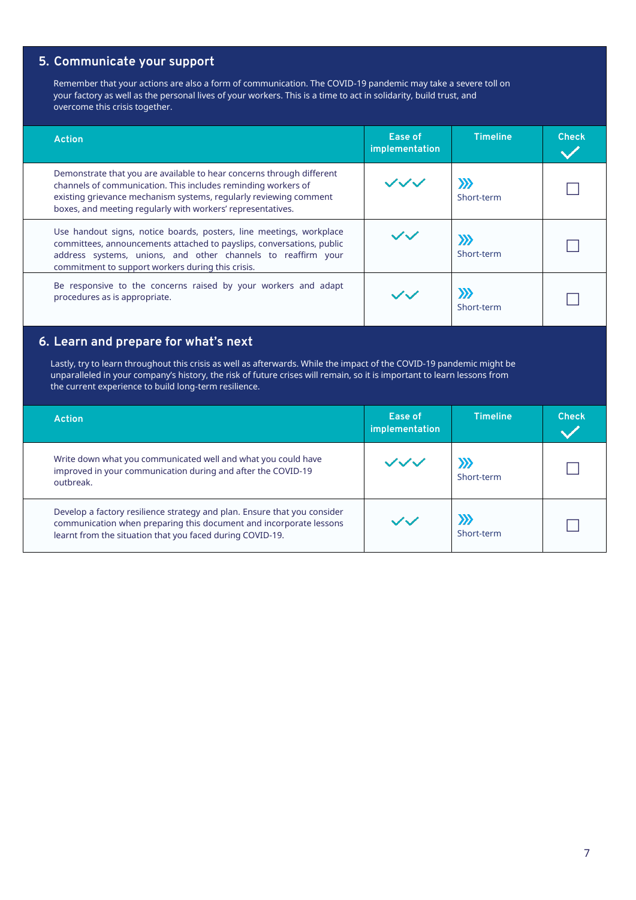## **5. Communicate your support**

Remember that your actions are also a form of communication. The COVID-19 pandemic may take a severe toll on your factory as well as the personal lives of your workers. This is a time to act in solidarity, build trust, and overcome this crisis together.

| <b>Action</b>                                                                                                                                                                                                                                                              | Ease of<br>implementation | <b>Timeline</b>     | <b>Check</b> |
|----------------------------------------------------------------------------------------------------------------------------------------------------------------------------------------------------------------------------------------------------------------------------|---------------------------|---------------------|--------------|
| Demonstrate that you are available to hear concerns through different<br>channels of communication. This includes reminding workers of<br>existing grievance mechanism systems, regularly reviewing comment<br>boxes, and meeting regularly with workers' representatives. | ノンノ                       | $\gg$<br>Short-term |              |
| Use handout signs, notice boards, posters, line meetings, workplace<br>committees, announcements attached to payslips, conversations, public<br>address systems, unions, and other channels to reaffirm your<br>commitment to support workers during this crisis.          |                           | $\gg$<br>Short-term |              |
| Be responsive to the concerns raised by your workers and adapt<br>procedures as is appropriate.                                                                                                                                                                            |                           | $\gg$<br>Short-term |              |

## **6. Learn and prepare for what's next**

Lastly, try to learn throughout this crisis as well as afterwards. While the impact of the COVID-19 pandemic might be unparalleled in your company's history, the risk of future crises will remain, so it is important to learn lessons from the current experience to build long-term resilience.

| <b>Action</b>                                                                                                                                                                                               | Ease of<br>implementation | <b>Timeline</b>      | <b>Check</b> |
|-------------------------------------------------------------------------------------------------------------------------------------------------------------------------------------------------------------|---------------------------|----------------------|--------------|
| Write down what you communicated well and what you could have<br>improved in your communication during and after the COVID-19<br>outbreak.                                                                  | ンンン                       | $\sum$<br>Short-term |              |
| Develop a factory resilience strategy and plan. Ensure that you consider<br>communication when preparing this document and incorporate lessons<br>learnt from the situation that you faced during COVID-19. | $\sim$ / $\sim$ /         | Short-term           |              |